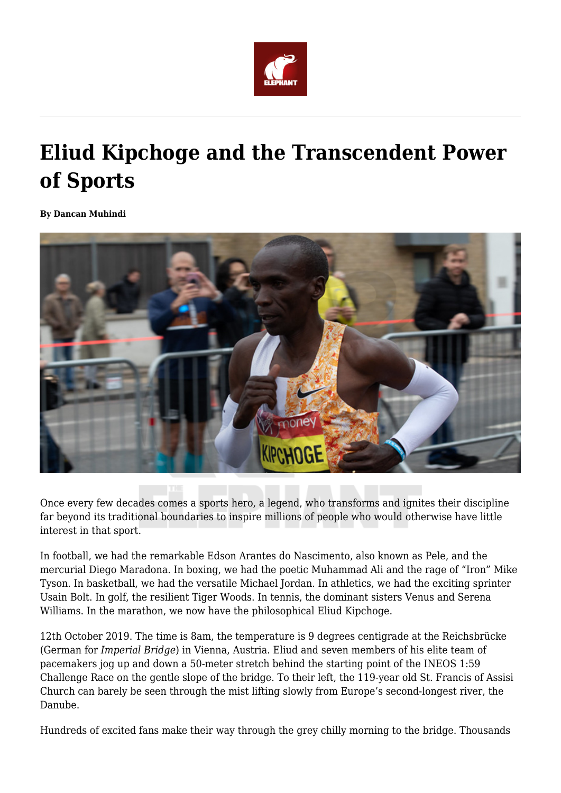

## **Eliud Kipchoge and the Transcendent Power of Sports**

**By Dancan Muhindi**



Once every few decades comes a sports hero, a legend, who transforms and ignites their discipline far beyond its traditional boundaries to inspire millions of people who would otherwise have little interest in that sport.

In football, we had the remarkable Edson Arantes do Nascimento, also known as Pele, and the mercurial Diego Maradona. In boxing, we had the poetic Muhammad Ali and the rage of "Iron" Mike Tyson. In basketball, we had the versatile Michael Jordan. In athletics, we had the exciting sprinter Usain Bolt. In golf, the resilient Tiger Woods. In tennis, the dominant sisters Venus and Serena Williams. In the marathon, we now have the philosophical Eliud Kipchoge.

12th October 2019. The time is 8am, the temperature is 9 degrees centigrade at the Reichsbrücke (German for *Imperial Bridge*) in Vienna, Austria. Eliud and seven members of his elite team of pacemakers jog up and down a 50-meter stretch behind the starting point of the INEOS 1:59 Challenge Race on the gentle slope of the bridge. To their left, the 119-year old St. Francis of Assisi Church can barely be seen through the mist lifting slowly from Europe's second-longest river, the Danube.

Hundreds of excited fans make their way through the grey chilly morning to the bridge. Thousands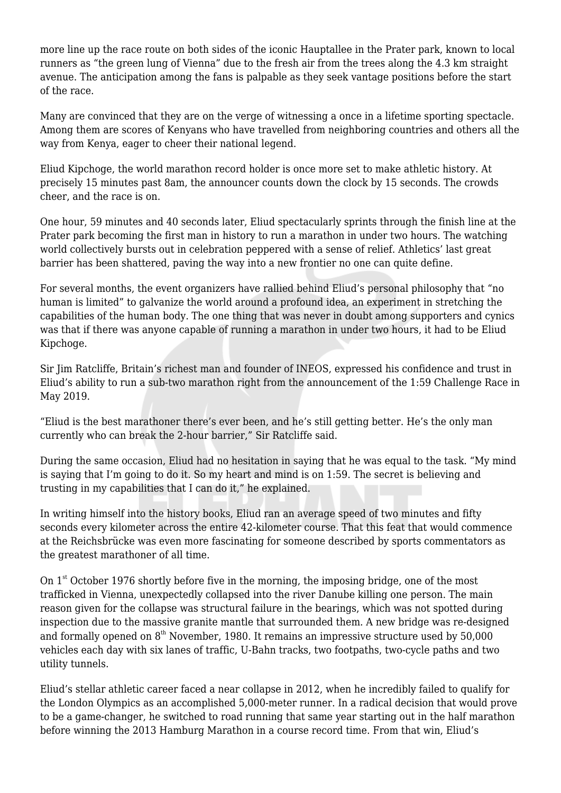more line up the race route on both sides of the iconic Hauptallee in the Prater park, known to local runners as "the green lung of Vienna" due to the fresh air from the trees along the 4.3 km straight avenue. The anticipation among the fans is palpable as they seek vantage positions before the start of the race.

Many are convinced that they are on the verge of witnessing a once in a lifetime sporting spectacle. Among them are scores of Kenyans who have travelled from neighboring countries and others all the way from Kenya, eager to cheer their national legend.

Eliud Kipchoge, the world marathon record holder is once more set to make athletic history. At precisely 15 minutes past 8am, the announcer counts down the clock by 15 seconds. The crowds cheer, and the race is on.

One hour, 59 minutes and 40 seconds later, Eliud spectacularly sprints through the finish line at the Prater park becoming the first man in history to run a marathon in under two hours. The watching world collectively bursts out in celebration peppered with a sense of relief. Athletics' last great barrier has been shattered, paving the way into a new frontier no one can quite define.

For several months, the event organizers have rallied behind Eliud's personal philosophy that "no human is limited" to galvanize the world around a profound idea, an experiment in stretching the capabilities of the human body. The one thing that was never in doubt among supporters and cynics was that if there was anyone capable of running a marathon in under two hours, it had to be Eliud Kipchoge.

Sir Jim Ratcliffe, Britain's richest man and founder of INEOS, expressed his confidence and trust in Eliud's ability to run a sub-two marathon right from the announcement of the 1:59 Challenge Race in May 2019.

"Eliud is the best marathoner there's ever been, and he's still getting better. He's the only man currently who can break the 2-hour barrier," Sir Ratcliffe said.

During the same occasion, Eliud had no hesitation in saying that he was equal to the task. "My mind is saying that I'm going to do it. So my heart and mind is on 1:59. The secret is believing and trusting in my capabilities that I can do it," he explained.

In writing himself into the history books, Eliud ran an average speed of two minutes and fifty seconds every kilometer across the entire 42-kilometer course. That this feat that would commence at the Reichsbrücke was even more fascinating for someone described by sports commentators as the greatest marathoner of all time.

On  $1<sup>st</sup>$  October 1976 shortly before five in the morning, the imposing bridge, one of the most trafficked in Vienna, unexpectedly collapsed into the river Danube killing one person. The main reason given for the collapse was structural failure in the bearings, which was not spotted during inspection due to the massive granite mantle that surrounded them. A new bridge was re-designed and formally opened on  $8<sup>th</sup>$  November, 1980. It remains an impressive structure used by 50,000 vehicles each day with six lanes of traffic, U-Bahn tracks, two footpaths, two-cycle paths and two utility tunnels.

Eliud's stellar athletic career faced a near collapse in 2012, when he incredibly failed to qualify for the London Olympics as an accomplished 5,000-meter runner. In a radical decision that would prove to be a game-changer, he switched to road running that same year starting out in the half marathon before winning the 2013 Hamburg Marathon in a course record time. From that win, Eliud's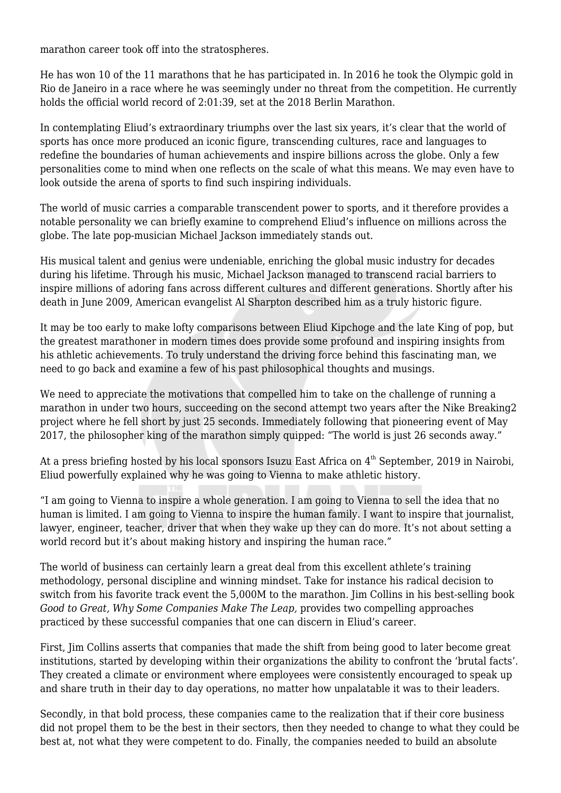marathon career took off into the stratospheres.

He has won 10 of the 11 marathons that he has participated in. In 2016 he took the Olympic gold in Rio de Janeiro in a race where he was seemingly under no threat from the competition. He currently holds the official world record of 2:01:39, set at the 2018 Berlin Marathon.

In contemplating Eliud's extraordinary triumphs over the last six years, it's clear that the world of sports has once more produced an iconic figure, transcending cultures, race and languages to redefine the boundaries of human achievements and inspire billions across the globe. Only a few personalities come to mind when one reflects on the scale of what this means. We may even have to look outside the arena of sports to find such inspiring individuals.

The world of music carries a comparable transcendent power to sports, and it therefore provides a notable personality we can briefly examine to comprehend Eliud's influence on millions across the globe. The late pop-musician Michael Jackson immediately stands out.

His musical talent and genius were undeniable, enriching the global music industry for decades during his lifetime. Through his music, Michael Jackson managed to transcend racial barriers to inspire millions of adoring fans across different cultures and different generations. Shortly after his death in June 2009, American evangelist Al Sharpton described him as a truly historic figure.

It may be too early to make lofty comparisons between Eliud Kipchoge and the late King of pop, but the greatest marathoner in modern times does provide some profound and inspiring insights from his athletic achievements. To truly understand the driving force behind this fascinating man, we need to go back and examine a few of his past philosophical thoughts and musings.

We need to appreciate the motivations that compelled him to take on the challenge of running a marathon in under two hours, succeeding on the second attempt two years after the Nike Breaking2 project where he fell short by just 25 seconds. Immediately following that pioneering event of May 2017, the philosopher king of the marathon simply quipped: "The world is just 26 seconds away."

At a press briefing hosted by his local sponsors Isuzu East Africa on 4<sup>th</sup> September, 2019 in Nairobi, Eliud powerfully explained why he was going to Vienna to make athletic history.

"I am going to Vienna to inspire a whole generation. I am going to Vienna to sell the idea that no human is limited. I am going to Vienna to inspire the human family. I want to inspire that journalist, lawyer, engineer, teacher, driver that when they wake up they can do more. It's not about setting a world record but it's about making history and inspiring the human race."

The world of business can certainly learn a great deal from this excellent athlete's training methodology, personal discipline and winning mindset. Take for instance his radical decision to switch from his favorite track event the 5,000M to the marathon. Jim Collins in his best-selling book *Good to Great, Why Some Companies Make The Leap,* provides two compelling approaches practiced by these successful companies that one can discern in Eliud's career.

First, Jim Collins asserts that companies that made the shift from being good to later become great institutions, started by developing within their organizations the ability to confront the 'brutal facts'. They created a climate or environment where employees were consistently encouraged to speak up and share truth in their day to day operations, no matter how unpalatable it was to their leaders.

Secondly, in that bold process, these companies came to the realization that if their core business did not propel them to be the best in their sectors, then they needed to change to what they could be best at, not what they were competent to do. Finally, the companies needed to build an absolute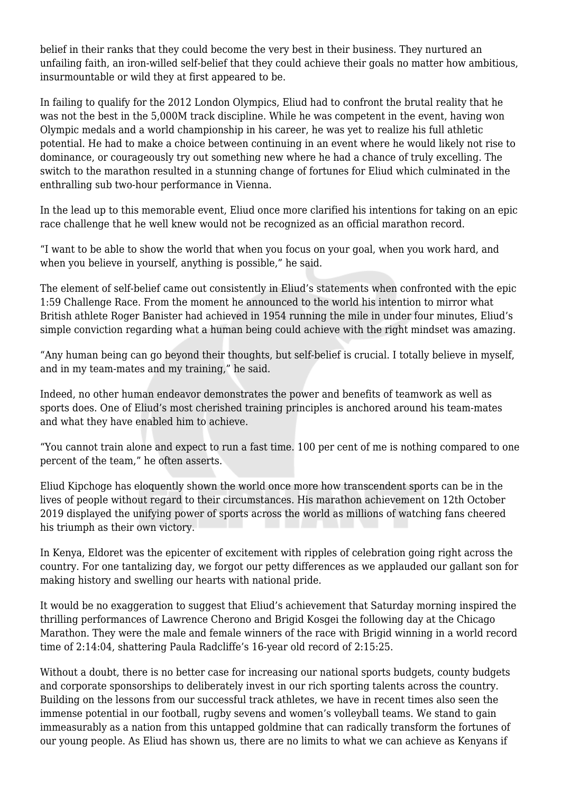belief in their ranks that they could become the very best in their business. They nurtured an unfailing faith, an iron-willed self-belief that they could achieve their goals no matter how ambitious, insurmountable or wild they at first appeared to be.

In failing to qualify for the 2012 London Olympics, Eliud had to confront the brutal reality that he was not the best in the 5,000M track discipline. While he was competent in the event, having won Olympic medals and a world championship in his career, he was yet to realize his full athletic potential. He had to make a choice between continuing in an event where he would likely not rise to dominance, or courageously try out something new where he had a chance of truly excelling. The switch to the marathon resulted in a stunning change of fortunes for Eliud which culminated in the enthralling sub two-hour performance in Vienna.

In the lead up to this memorable event, Eliud once more clarified his intentions for taking on an epic race challenge that he well knew would not be recognized as an official marathon record.

"I want to be able to show the world that when you focus on your goal, when you work hard, and when you believe in yourself, anything is possible," he said.

The element of self-belief came out consistently in Eliud's statements when confronted with the epic 1:59 Challenge Race. From the moment he announced to the world his intention to mirror what British athlete Roger Banister had achieved in 1954 running the mile in under four minutes, Eliud's simple conviction regarding what a human being could achieve with the right mindset was amazing.

"Any human being can go beyond their thoughts, but self-belief is crucial. I totally believe in myself, and in my team-mates and my training," he said.

Indeed, no other human endeavor demonstrates the power and benefits of teamwork as well as sports does. One of Eliud's most cherished training principles is anchored around his team-mates and what they have enabled him to achieve.

"You cannot train alone and expect to run a fast time. 100 per cent of me is nothing compared to one percent of the team," he often asserts.

Eliud Kipchoge has eloquently shown the world once more how transcendent sports can be in the lives of people without regard to their circumstances. His marathon achievement on 12th October 2019 displayed the unifying power of sports across the world as millions of watching fans cheered his triumph as their own victory.

In Kenya, Eldoret was the epicenter of excitement with ripples of celebration going right across the country. For one tantalizing day, we forgot our petty differences as we applauded our gallant son for making history and swelling our hearts with national pride.

It would be no exaggeration to suggest that Eliud's achievement that Saturday morning inspired the thrilling performances of Lawrence Cherono and Brigid Kosgei the following day at the Chicago Marathon. They were the male and female winners of the race with Brigid winning in a world record time of 2:14:04, shattering Paula Radcliffe's 16-year old record of 2:15:25.

Without a doubt, there is no better case for increasing our national sports budgets, county budgets and corporate sponsorships to deliberately invest in our rich sporting talents across the country. Building on the lessons from our successful track athletes, we have in recent times also seen the immense potential in our football, rugby sevens and women's volleyball teams. We stand to gain immeasurably as a nation from this untapped goldmine that can radically transform the fortunes of our young people. As Eliud has shown us, there are no limits to what we can achieve as Kenyans if